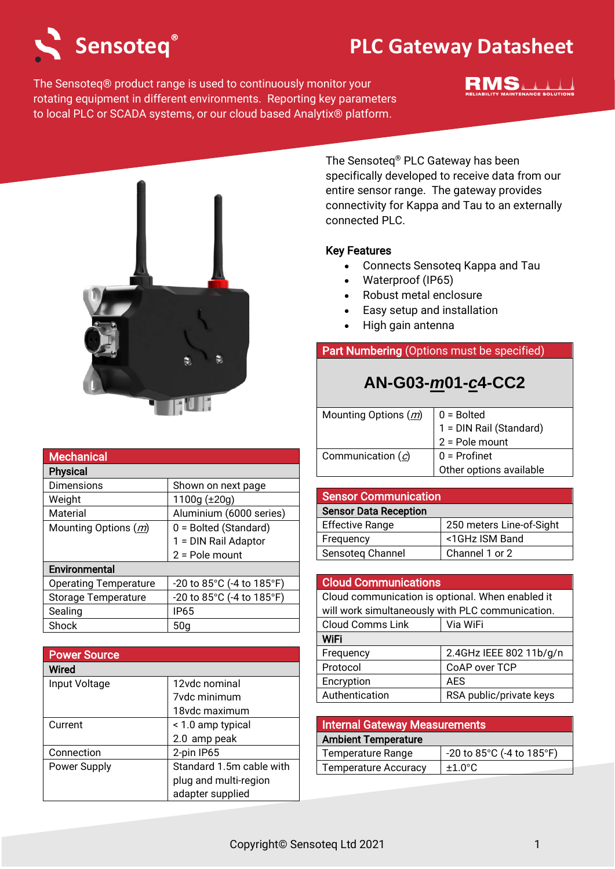

**Mechanical** 

## **Sensoteq PLC Gateway Datasheet ®**

The Sensoteq® product range is used to continuously monitor your rotating equipment in different environments. Reporting key parameters to local PLC or SCADA systems, or our cloud based Analytix® platform.





The Sensoteq® PLC Gateway has been specifically developed to receive data from our entire sensor range. The gateway provides connectivity for Kappa and Tau to an externally connected PLC.

#### Key Features

- Connects Sensoteq Kappa and Tau
- Waterproof (IP65)
- Robust metal enclosure
- Easy setup and installation
- High gain antenna

### Part Numbering (Options must be specified)

## **AN-G03-***m***01-***c***4-CC2**

| Mounting Options (m) | $0 =$ Bolted            |
|----------------------|-------------------------|
|                      | 1 = DIN Rail (Standard) |
|                      | $2 =$ Pole mount        |
| Communication $(c)$  | $0 =$ Profinet          |
|                      | Other options available |

| <b>Sensor Communication</b>  |                          |
|------------------------------|--------------------------|
| <b>Sensor Data Reception</b> |                          |
| <b>Effective Range</b>       | 250 meters Line-of-Sight |
| Frequency                    | <1GHz ISM Band           |
| Sensoteg Channel             | Channel 1 or 2           |

## Cloud Communications

| Cloud communication is optional. When enabled it |                         |
|--------------------------------------------------|-------------------------|
| will work simultaneously with PLC communication. |                         |
| <b>Cloud Comms Link</b>                          | Via WiFi                |
| <b>WiFi</b>                                      |                         |
| Frequency                                        | 2.4GHz IEEE 802 11b/g/n |
| Protocol                                         | CoAP over TCP           |
| Encryption                                       | <b>AES</b>              |
| Authentication                                   | RSA public/private keys |

| <b>Internal Gateway Measurements</b> |                           |
|--------------------------------------|---------------------------|
| <b>Ambient Temperature</b>           |                           |
| <b>Temperature Range</b>             | -20 to 85°C (-4 to 185°F) |
| <b>Temperature Accuracy</b>          | $+1.0^{\circ}$ C          |

| <b>Physical</b>              |                           |
|------------------------------|---------------------------|
| Dimensions                   | Shown on next page        |
| Weight                       | 1100g $(\pm 20g)$         |
| Material                     | Aluminium (6000 series)   |
| Mounting Options (m)         | 0 = Bolted (Standard)     |
|                              | 1 = DIN Rail Adaptor      |
|                              | $2 =$ Pole mount          |
| Environmental                |                           |
| <b>Operating Temperature</b> | -20 to 85°C (-4 to 185°F) |
| <b>Storage Temperature</b>   | -20 to 85°C (-4 to 185°F) |
| Sealing                      | <b>IP65</b>               |
| Shock                        | 50a                       |

| <b>Power Source</b> |                          |
|---------------------|--------------------------|
| Wired               |                          |
| Input Voltage       | 12vdc nominal            |
|                     | <b>7vdc minimum</b>      |
|                     | 18vdc maximum            |
| Current             | < 1.0 amp typical        |
|                     | 2.0 amp peak             |
| Connection          | 2-pin IP65               |
| Power Supply        | Standard 1.5m cable with |
|                     | plug and multi-region    |
|                     | adapter supplied         |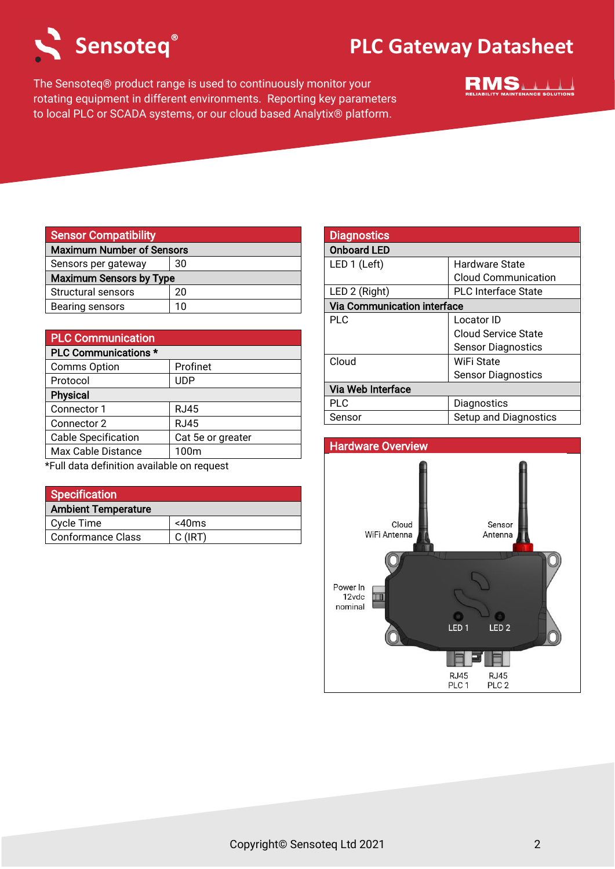

# **Sensoteq PLC Gateway Datasheet ®**

The Sensoteq® product range is used to continuously monitor your rotating equipment in different environments. Reporting key parameters to local PLC or SCADA systems, or our cloud based Analytix® platform.



| <b>Sensor Compatibility</b>      |    |
|----------------------------------|----|
| <b>Maximum Number of Sensors</b> |    |
| Sensors per gateway              | 30 |
| <b>Maximum Sensors by Type</b>   |    |
| Structural sensors               | 20 |
| Bearing sensors                  | 10 |

| <b>PLC Communication</b>    |                   |
|-----------------------------|-------------------|
| <b>PLC Communications *</b> |                   |
| <b>Comms Option</b>         | Profinet          |
| Protocol                    | UDP               |
| <b>Physical</b>             |                   |
| Connector 1                 | RJ45              |
| Connector 2                 | <b>RJ45</b>       |
| <b>Cable Specification</b>  | Cat 5e or greater |
| Max Cable Distance          | 100m              |

\*Full data definition available on request

| <b>Specification</b>       |             |
|----------------------------|-------------|
| <b>Ambient Temperature</b> |             |
| Cycle Time                 | $<$ 40 $ms$ |
| <b>Conformance Class</b>   | $C$ (IRT)   |

| <b>Diagnostics</b>                 |                            |
|------------------------------------|----------------------------|
| <b>Onboard LED</b>                 |                            |
| LED 1 (Left)                       | <b>Hardware State</b>      |
|                                    | <b>Cloud Communication</b> |
| LED 2 (Right)                      | <b>PLC</b> Interface State |
| <b>Via Communication interface</b> |                            |
| <b>PLC</b>                         | Locator ID                 |
|                                    | Cloud Service State        |
|                                    | <b>Sensor Diagnostics</b>  |
| Cloud                              | WiFi State                 |
|                                    | <b>Sensor Diagnostics</b>  |
| Via Web Interface                  |                            |
| PLC                                | Diagnostics                |
| Sensor                             | Setup and Diagnostics      |